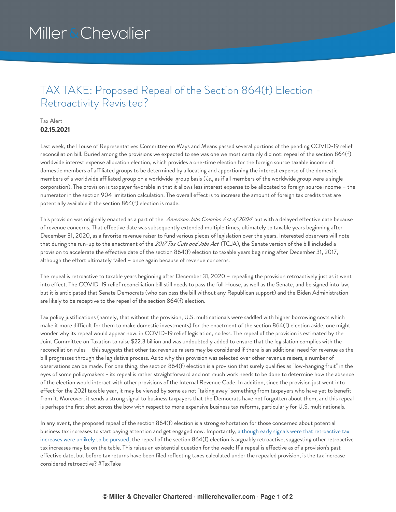# Miller & Chevalier

### TAX TAKE: Proposed Repeal of the Section 864(f) Election - Retroactivity Revisited?

#### Tax Alert **02.15.2021**

Last week, the House of Representatives Committee on Ways and Means passed several portions of the pending COVID-19 relief reconciliation bill. Buried among the provisions we expected to see was one we most certainly did not: repeal of the section 864(f) worldwide interest expense allocation election, which provides a one-time election for the foreign source taxable income of domestic members of affiliated groups to be determined by allocating and apportioning the interest expense of the domestic members of a worldwide affiliated group on a worldwide-group basis (*i.e*., as if all members of the worldwide group were a single corporation). The provision is taxpayer favorable in that it allows less interest expense to be allocated to foreign source income – the numerator in the section 904 limitation calculation. The overall effect is to increase the amount of foreign tax credits that are potentially available if the section 864(f) election is made.

This provision was originally enacted as a part of the *American Jobs Creation Act of <sup>2004</sup>* but with a delayed effective date because of revenue concerns. That effective date was subsequently extended multiple times, ultimately to taxable years beginning after December 31, 2020, as a favorite revenue raiser to fund various pieces of legislation over the years. Interested observers will note that during the run-up to the enactment of the *2017 Tax Cuts and Jobs Act* (TCJA), the Senate version of the bill included a provision to accelerate the effective date of the section 864(f) election to taxable years beginning after December 31, 2017, although the effort ultimately failed – once again because of revenue concerns.

The repeal is retroactive to taxable years beginning after December 31, 2020 – repealing the provision retroactively just as it went into effect. The COVID-19 relief reconciliation bill still needs to pass the full House, as well as the Senate, and be signed into law, but it is anticipated that Senate Democrats (who can pass the bill without any Republican support) and the Biden Administration are likely to be receptive to the repeal of the section 864(f) election.

Tax policy justifications (namely, that without the provision, U.S. multinationals were saddled with higher borrowing costs which make it more difficult for them to make domestic investments) for the enactment of the section 864(f) election aside, one might wonder why its repeal would appear now, in COVID-19 relief legislation, no less. The repeal of the provision is estimated by the Joint Committee on Taxation to raise \$22.3 billion and was undoubtedly added to ensure that the legislation complies with the reconciliation rules – this suggests that other tax revenue raisers may be considered if there is an additional need for revenue as the bill progresses through the legislative process. As to why this provision was selected over other revenue raisers, a number of observations can be made. For one thing, the section 864(f) election is a provision that surely qualifies as "low-hanging fruit" in the eyes of some policymakers - its repeal is rather straightforward and not much work needs to be done to determine how the absence of the election would interact with other provisions of the Internal Revenue Code. In addition, since the provision just went into effect for the 2021 taxable year, it may be viewed by some as not "taking away" something from taxpayers who have yet to benefit from it. Moreover, it sends a strong signal to business taxpayers that the Democrats have not forgotten about them, and this repeal is perhaps the first shot across the bow with respect to more expansive business tax reforms, particularly for U.S. multinationals.

In any event, the proposed repeal of the section 864(f) election is a strong exhortation for those concerned about potential business tax increases to start paying attention and get engaged now. [Importantly,](https://www.millerchevalier.com/publication/tax-take-reduced-risk-retroactive-tax-increases) although early signals were that retroactive tax increases were unlikely to be pursued, the repeal of the section 864(f) election is arguably retroactive, suggesting other retroactive tax increases may be on the table. This raises an existential question for the week: If a repeal is effective as of a provision's past effective date, but before tax returns have been filed reflecting taxes calculated under the repealed provision, is the tax increase considered retroactive? #TaxTake